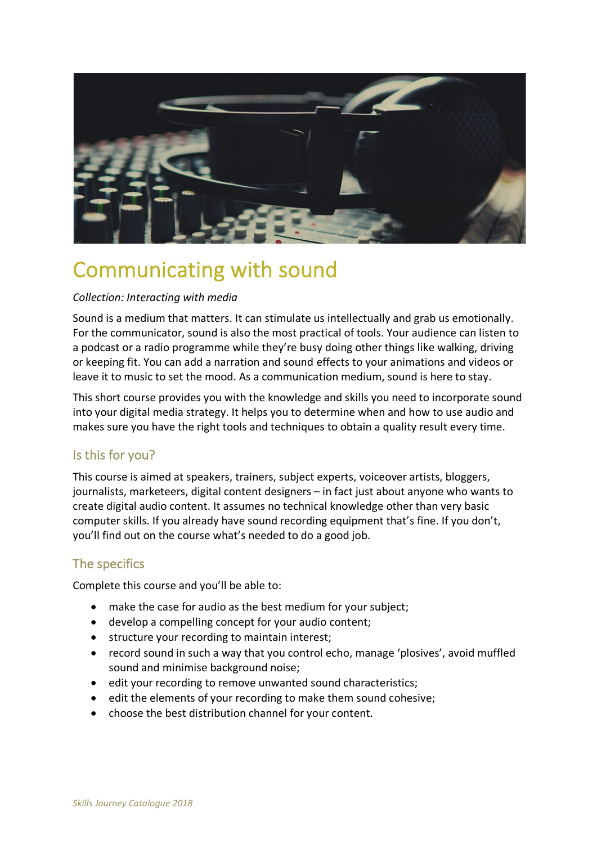

# Communicating with sound

#### *Collection: Interacting with media*

Sound is a medium that matters. It can stimulate us intellectually and grab us emotionally. For the communicator, sound is also the most practical of tools. Your audience can listen to a podcast or a radio programme while they're busy doing other things like walking, driving or keeping fit. You can add a narration and sound effects to your animations and videos or leave it to music to set the mood. As a communication medium, sound is here to stay.

This short course provides you with the knowledge and skills you need to incorporate sound into your digital media strategy. It helps you to determine when and how to use audio and makes sure you have the right tools and techniques to obtain a quality result every time.

### Is this for you?

This course is aimed at speakers, trainers, subject experts, voiceover artists, bloggers, journalists, marketeers, digital content designers – in fact just about anyone who wants to create digital audio content. It assumes no technical knowledge other than very basic computer skills. If you already have sound recording equipment that's fine. If you don't, you'll find out on the course what's needed to do a good job.

### The specifics

Complete this course and you'll be able to:

- make the case for audio as the best medium for your subject;
- develop a compelling concept for your audio content;
- structure your recording to maintain interest;
- record sound in such a way that you control echo, manage 'plosives', avoid muffled sound and minimise background noise;
- edit your recording to remove unwanted sound characteristics;
- edit the elements of your recording to make them sound cohesive;
- choose the best distribution channel for your content.